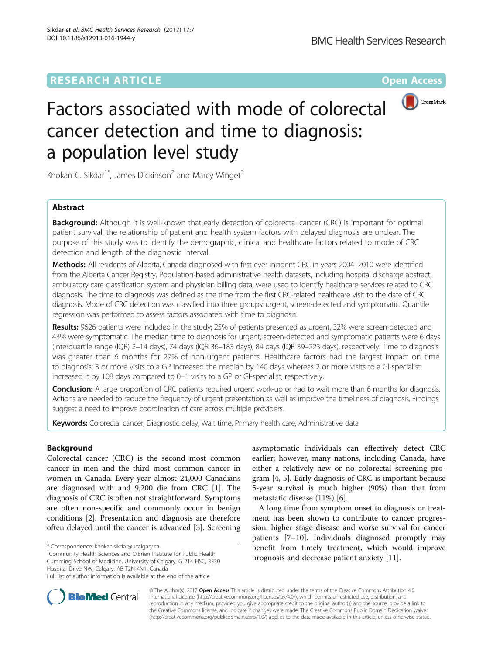# **RESEARCH ARTICLE Example 2014 12:30 The Contract of Contract ACCESS**



# Factors associated with mode of colorectal cancer detection and time to diagnosis: a population level study

Khokan C. Sikdar<sup>1\*</sup>, James Dickinson<sup>2</sup> and Marcy Winget<sup>3</sup>

# Abstract

**Background:** Although it is well-known that early detection of colorectal cancer (CRC) is important for optimal patient survival, the relationship of patient and health system factors with delayed diagnosis are unclear. The purpose of this study was to identify the demographic, clinical and healthcare factors related to mode of CRC detection and length of the diagnostic interval.

Methods: All residents of Alberta, Canada diagnosed with first-ever incident CRC in years 2004–2010 were identified from the Alberta Cancer Registry. Population-based administrative health datasets, including hospital discharge abstract, ambulatory care classification system and physician billing data, were used to identify healthcare services related to CRC diagnosis. The time to diagnosis was defined as the time from the first CRC-related healthcare visit to the date of CRC diagnosis. Mode of CRC detection was classified into three groups: urgent, screen-detected and symptomatic. Quantile regression was performed to assess factors associated with time to diagnosis.

Results: 9626 patients were included in the study; 25% of patients presented as urgent, 32% were screen-detected and 43% were symptomatic. The median time to diagnosis for urgent, screen-detected and symptomatic patients were 6 days (interquartile range (IQR) 2–14 days), 74 days (IQR 36–183 days), 84 days (IQR 39–223 days), respectively. Time to diagnosis was greater than 6 months for 27% of non-urgent patients. Healthcare factors had the largest impact on time to diagnosis: 3 or more visits to a GP increased the median by 140 days whereas 2 or more visits to a GI-specialist increased it by 108 days compared to 0–1 visits to a GP or GI-specialist, respectively.

Conclusion: A large proportion of CRC patients required urgent work-up or had to wait more than 6 months for diagnosis. Actions are needed to reduce the frequency of urgent presentation as well as improve the timeliness of diagnosis. Findings suggest a need to improve coordination of care across multiple providers.

Keywords: Colorectal cancer, Diagnostic delay, Wait time, Primary health care, Administrative data

# Background

Colorectal cancer (CRC) is the second most common cancer in men and the third most common cancer in women in Canada. Every year almost 24,000 Canadians are diagnosed with and 9,200 die from CRC [\[1](#page-9-0)]. The diagnosis of CRC is often not straightforward. Symptoms are often non-specific and commonly occur in benign conditions [[2\]](#page-9-0). Presentation and diagnosis are therefore often delayed until the cancer is advanced [[3\]](#page-9-0). Screening

<sup>1</sup> Community Health Sciences and O'Brien Institute for Public Health, Cumming School of Medicine, University of Calgary, G 214 HSC, 3330 Hospital Drive NW, Calgary, AB T2N 4N1, Canada

asymptomatic individuals can effectively detect CRC earlier; however, many nations, including Canada, have either a relatively new or no colorectal screening program [[4, 5\]](#page-9-0). Early diagnosis of CRC is important because 5-year survival is much higher (90%) than that from metastatic disease (11%) [\[6\]](#page-9-0).

A long time from symptom onset to diagnosis or treatment has been shown to contribute to cancer progression, higher stage disease and worse survival for cancer patients [[7](#page-9-0)–[10](#page-9-0)]. Individuals diagnosed promptly may benefit from timely treatment, which would improve prognosis and decrease patient anxiety [\[11](#page-9-0)].



© The Author(s). 2017 **Open Access** This article is distributed under the terms of the Creative Commons Attribution 4.0 International License [\(http://creativecommons.org/licenses/by/4.0/](http://creativecommons.org/licenses/by/4.0/)), which permits unrestricted use, distribution, and reproduction in any medium, provided you give appropriate credit to the original author(s) and the source, provide a link to the Creative Commons license, and indicate if changes were made. The Creative Commons Public Domain Dedication waiver [\(http://creativecommons.org/publicdomain/zero/1.0/](http://creativecommons.org/publicdomain/zero/1.0/)) applies to the data made available in this article, unless otherwise stated.

<sup>\*</sup> Correspondence: [khokan.sikdar@ucalgary.ca](mailto:khokan.sikdar@ucalgary.ca) <sup>1</sup>

Full list of author information is available at the end of the article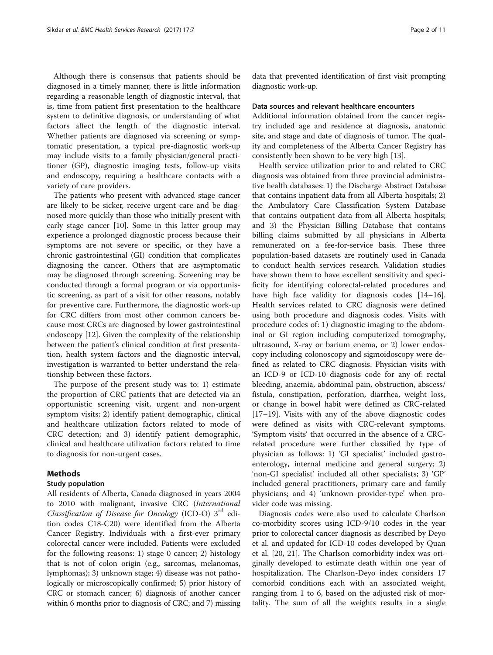Although there is consensus that patients should be diagnosed in a timely manner, there is little information regarding a reasonable length of diagnostic interval, that is, time from patient first presentation to the healthcare system to definitive diagnosis, or understanding of what factors affect the length of the diagnostic interval. Whether patients are diagnosed via screening or symptomatic presentation, a typical pre-diagnostic work-up may include visits to a family physician/general practitioner (GP), diagnostic imaging tests, follow-up visits and endoscopy, requiring a healthcare contacts with a variety of care providers.

The patients who present with advanced stage cancer are likely to be sicker, receive urgent care and be diagnosed more quickly than those who initially present with early stage cancer [\[10\]](#page-9-0). Some in this latter group may experience a prolonged diagnostic process because their symptoms are not severe or specific, or they have a chronic gastrointestinal (GI) condition that complicates diagnosing the cancer. Others that are asymptomatic may be diagnosed through screening. Screening may be conducted through a formal program or via opportunistic screening, as part of a visit for other reasons, notably for preventive care. Furthermore, the diagnostic work-up for CRC differs from most other common cancers because most CRCs are diagnosed by lower gastrointestinal endoscopy [[12\]](#page-9-0). Given the complexity of the relationship between the patient's clinical condition at first presentation, health system factors and the diagnostic interval, investigation is warranted to better understand the relationship between these factors.

The purpose of the present study was to: 1) estimate the proportion of CRC patients that are detected via an opportunistic screening visit, urgent and non-urgent symptom visits; 2) identify patient demographic, clinical and healthcare utilization factors related to mode of CRC detection; and 3) identify patient demographic, clinical and healthcare utilization factors related to time to diagnosis for non-urgent cases.

# Methods

# Study population

All residents of Alberta, Canada diagnosed in years 2004 to 2010 with malignant, invasive CRC (International Classification of Disease for Oncology (ICD-O)  $3<sup>rd</sup>$  edition codes C18-C20) were identified from the Alberta Cancer Registry. Individuals with a first-ever primary colorectal cancer were included. Patients were excluded for the following reasons: 1) stage 0 cancer; 2) histology that is not of colon origin (e.g., sarcomas, melanomas, lymphomas); 3) unknown stage; 4) disease was not pathologically or microscopically confirmed; 5) prior history of CRC or stomach cancer; 6) diagnosis of another cancer within 6 months prior to diagnosis of CRC; and 7) missing

data that prevented identification of first visit prompting diagnostic work-up.

# Data sources and relevant healthcare encounters

Additional information obtained from the cancer registry included age and residence at diagnosis, anatomic site, and stage and date of diagnosis of tumor. The quality and completeness of the Alberta Cancer Registry has consistently been shown to be very high [\[13\]](#page-9-0).

Health service utilization prior to and related to CRC diagnosis was obtained from three provincial administrative health databases: 1) the Discharge Abstract Database that contains inpatient data from all Alberta hospitals; 2) the Ambulatory Care Classification System Database that contains outpatient data from all Alberta hospitals; and 3) the Physician Billing Database that contains billing claims submitted by all physicians in Alberta remunerated on a fee-for-service basis. These three population-based datasets are routinely used in Canada to conduct health services research. Validation studies have shown them to have excellent sensitivity and specificity for identifying colorectal-related procedures and have high face validity for diagnosis codes [[14](#page-9-0)–[16](#page-9-0)]. Health services related to CRC diagnosis were defined using both procedure and diagnosis codes. Visits with procedure codes of: 1) diagnostic imaging to the abdominal or GI region including computerized tomography, ultrasound, X-ray or barium enema, or 2) lower endoscopy including colonoscopy and sigmoidoscopy were defined as related to CRC diagnosis. Physician visits with an ICD-9 or ICD-10 diagnosis code for any of: rectal bleeding, anaemia, abdominal pain, obstruction, abscess/ fistula, constipation, perforation, diarrhea, weight loss, or change in bowel habit were defined as CRC-related [[17](#page-9-0)–[19](#page-9-0)]. Visits with any of the above diagnostic codes were defined as visits with CRC-relevant symptoms. 'Symptom visits' that occurred in the absence of a CRCrelated procedure were further classified by type of physician as follows: 1) 'GI specialist' included gastroenterology, internal medicine and general surgery; 2) 'non-GI specialist' included all other specialists; 3) 'GP' included general practitioners, primary care and family physicians; and 4) 'unknown provider-type' when provider code was missing.

Diagnosis codes were also used to calculate Charlson co-morbidity scores using ICD-9/10 codes in the year prior to colorectal cancer diagnosis as described by Deyo et al. and updated for ICD-10 codes developed by Quan et al. [[20](#page-9-0), [21\]](#page-9-0). The Charlson comorbidity index was originally developed to estimate death within one year of hospitalization. The Charlson-Deyo index considers 17 comorbid conditions each with an associated weight, ranging from 1 to 6, based on the adjusted risk of mortality. The sum of all the weights results in a single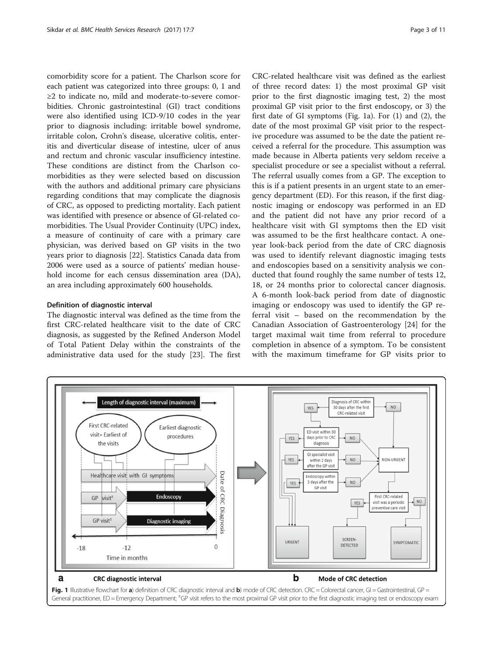<span id="page-2-0"></span>comorbidity score for a patient. The Charlson score for each patient was categorized into three groups: 0, 1 and ≥2 to indicate no, mild and moderate-to-severe comorbidities. Chronic gastrointestinal (GI) tract conditions were also identified using ICD-9/10 codes in the year prior to diagnosis including: irritable bowel syndrome, irritable colon, Crohn's disease, ulcerative colitis, enteritis and diverticular disease of intestine, ulcer of anus and rectum and chronic vascular insufficiency intestine. These conditions are distinct from the Charlson comorbidities as they were selected based on discussion with the authors and additional primary care physicians regarding conditions that may complicate the diagnosis of CRC, as opposed to predicting mortality. Each patient was identified with presence or absence of GI-related comorbidities. The Usual Provider Continuity (UPC) index, a measure of continuity of care with a primary care physician, was derived based on GP visits in the two years prior to diagnosis [\[22](#page-9-0)]. Statistics Canada data from 2006 were used as a source of patients' median household income for each census dissemination area (DA), an area including approximately 600 households.

# Definition of diagnostic interval

The diagnostic interval was defined as the time from the first CRC-related healthcare visit to the date of CRC diagnosis, as suggested by the Refined Anderson Model of Total Patient Delay within the constraints of the administrative data used for the study [\[23](#page-9-0)]. The first

CRC-related healthcare visit was defined as the earliest of three record dates: 1) the most proximal GP visit prior to the first diagnostic imaging test, 2) the most proximal GP visit prior to the first endoscopy, or 3) the first date of GI symptoms (Fig. 1a). For (1) and (2), the date of the most proximal GP visit prior to the respective procedure was assumed to be the date the patient received a referral for the procedure. This assumption was made because in Alberta patients very seldom receive a specialist procedure or see a specialist without a referral. The referral usually comes from a GP. The exception to this is if a patient presents in an urgent state to an emergency department (ED). For this reason, if the first diagnostic imaging or endoscopy was performed in an ED and the patient did not have any prior record of a healthcare visit with GI symptoms then the ED visit was assumed to be the first healthcare contact. A oneyear look-back period from the date of CRC diagnosis was used to identify relevant diagnostic imaging tests and endoscopies based on a sensitivity analysis we conducted that found roughly the same number of tests 12, 18, or 24 months prior to colorectal cancer diagnosis. A 6-month look-back period from date of diagnostic imaging or endoscopy was used to identify the GP referral visit – based on the recommendation by the Canadian Association of Gastroenterology [[24](#page-9-0)] for the target maximal wait time from referral to procedure completion in absence of a symptom. To be consistent with the maximum timeframe for GP visits prior to

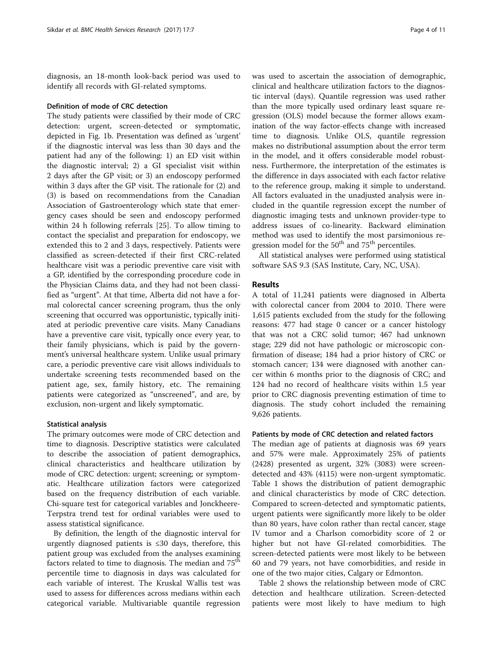diagnosis, an 18-month look-back period was used to identify all records with GI-related symptoms.

# Definition of mode of CRC detection

The study patients were classified by their mode of CRC detection: urgent, screen-detected or symptomatic, depicted in Fig. [1b.](#page-2-0) Presentation was defined as 'urgent' if the diagnostic interval was less than 30 days and the patient had any of the following: 1) an ED visit within the diagnostic interval; 2) a GI specialist visit within 2 days after the GP visit; or 3) an endoscopy performed within 3 days after the GP visit. The rationale for (2) and (3) is based on recommendations from the Canadian Association of Gastroenterology which state that emergency cases should be seen and endoscopy performed within 24 h following referrals [[25](#page-9-0)]. To allow timing to contact the specialist and preparation for endoscopy, we extended this to 2 and 3 days, respectively. Patients were classified as screen-detected if their first CRC-related healthcare visit was a periodic preventive care visit with a GP, identified by the corresponding procedure code in the Physician Claims data, and they had not been classified as "urgent". At that time, Alberta did not have a formal colorectal cancer screening program, thus the only screening that occurred was opportunistic, typically initiated at periodic preventive care visits. Many Canadians have a preventive care visit, typically once every year, to their family physicians, which is paid by the government's universal healthcare system. Unlike usual primary care, a periodic preventive care visit allows individuals to undertake screening tests recommended based on the patient age, sex, family history, etc. The remaining patients were categorized as "unscreened", and are, by exclusion, non-urgent and likely symptomatic.

# Statistical analysis

The primary outcomes were mode of CRC detection and time to diagnosis. Descriptive statistics were calculated to describe the association of patient demographics, clinical characteristics and healthcare utilization by mode of CRC detection: urgent; screening; or symptomatic. Healthcare utilization factors were categorized based on the frequency distribution of each variable. Chi-square test for categorical variables and Jonckheere-Terpstra trend test for ordinal variables were used to assess statistical significance.

By definition, the length of the diagnostic interval for urgently diagnosed patients is ≤30 days, therefore, this patient group was excluded from the analyses examining factors related to time to diagnosis. The median and 75<sup>th</sup> percentile time to diagnosis in days was calculated for each variable of interest. The Kruskal Wallis test was used to assess for differences across medians within each categorical variable. Multivariable quantile regression was used to ascertain the association of demographic, clinical and healthcare utilization factors to the diagnostic interval (days). Quantile regression was used rather than the more typically used ordinary least square regression (OLS) model because the former allows examination of the way factor-effects change with increased time to diagnosis. Unlike OLS, quantile regression makes no distributional assumption about the error term in the model, and it offers considerable model robustness. Furthermore, the interpretation of the estimates is the difference in days associated with each factor relative to the reference group, making it simple to understand. All factors evaluated in the unadjusted analysis were included in the quantile regression except the number of diagnostic imaging tests and unknown provider-type to address issues of co-linearity. Backward elimination method was used to identify the most parsimonious regression model for the  $50<sup>th</sup>$  and  $75<sup>th</sup>$  percentiles.

All statistical analyses were performed using statistical software SAS 9.3 (SAS Institute, Cary, NC, USA).

# Results

A total of 11,241 patients were diagnosed in Alberta with colorectal cancer from 2004 to 2010. There were 1,615 patients excluded from the study for the following reasons: 477 had stage 0 cancer or a cancer histology that was not a CRC solid tumor; 467 had unknown stage; 229 did not have pathologic or microscopic confirmation of disease; 184 had a prior history of CRC or stomach cancer; 134 were diagnosed with another cancer within 6 months prior to the diagnosis of CRC; and 124 had no record of healthcare visits within 1.5 year prior to CRC diagnosis preventing estimation of time to diagnosis. The study cohort included the remaining 9,626 patients.

# Patients by mode of CRC detection and related factors

The median age of patients at diagnosis was 69 years and 57% were male. Approximately 25% of patients (2428) presented as urgent, 32% (3083) were screendetected and 43% (4115) were non-urgent symptomatic. Table [1](#page-4-0) shows the distribution of patient demographic and clinical characteristics by mode of CRC detection. Compared to screen-detected and symptomatic patients, urgent patients were significantly more likely to be older than 80 years, have colon rather than rectal cancer, stage IV tumor and a Charlson comorbidity score of 2 or higher but not have GI-related comorbidities. The screen-detected patients were most likely to be between 60 and 79 years, not have comorbidities, and reside in one of the two major cities, Calgary or Edmonton.

Table [2](#page-4-0) shows the relationship between mode of CRC detection and healthcare utilization. Screen-detected patients were most likely to have medium to high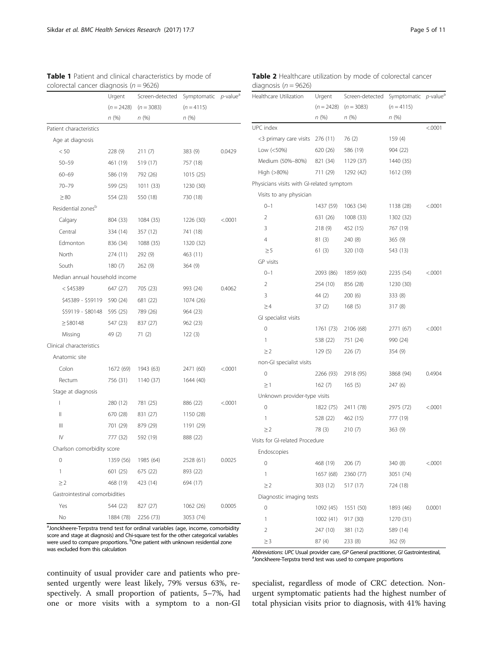| Page 5 of 11 |  |  |  |  |  |  |
|--------------|--|--|--|--|--|--|
|--------------|--|--|--|--|--|--|

|                                | Urgent    | Screen-detected           | Symptomatic  | $p$ -value <sup>a</sup> |
|--------------------------------|-----------|---------------------------|--------------|-------------------------|
|                                |           | $(n = 2428)$ $(n = 3083)$ | $(n = 4115)$ |                         |
|                                | n (%)     | n (%)                     | n (%)        |                         |
| Patient characteristics        |           |                           |              |                         |
| Age at diagnosis               |           |                           |              |                         |
| < 50                           | 228 (9)   | 211(7)                    | 383 (9)      | 0.0429                  |
| $50 - 59$                      | 461 (19)  | 519 (17)                  | 757 (18)     |                         |
| $60 - 69$                      | 586 (19)  | 792 (26)                  | 1015(25)     |                         |
| 70-79                          | 599 (25)  | 1011(33)                  | 1230 (30)    |                         |
| $\geq 80$                      | 554 (23)  | 550 (18)                  | 730 (18)     |                         |
| Residential zones <sup>b</sup> |           |                           |              |                         |
| Calgary                        | 804 (33)  | 1084 (35)                 | 1226 (30)    | < .0001                 |
| Central                        | 334 (14)  | 357 (12)                  | 741 (18)     |                         |
| Edmonton                       | 836 (34)  | 1088 (35)                 | 1320 (32)    |                         |
| North                          | 274 (11)  | 292(9)                    | 463 (11)     |                         |
| South                          | 180(7)    | 262 (9)                   | 364(9)       |                         |
| Median annual household income |           |                           |              |                         |
| < \$45389                      | 647 (27)  | 705 (23)                  | 993 (24)     | 0.4062                  |
| \$45389 - \$59119 590 (24)     |           | 681 (22)                  | 1074 (26)    |                         |
| \$59119 - \$80148 595 (25)     |           | 789 (26)                  | 964 (23)     |                         |
| $\ge$ \$80148                  | 547 (23)  | 837 (27)                  | 962 (23)     |                         |
| Missing                        | 49 (2)    | 71 (2)                    | 122 (3)      |                         |
| Clinical characteristics       |           |                           |              |                         |
| Anatomic site                  |           |                           |              |                         |
| Colon                          | 1672 (69) | 1943 (63)                 | 2471 (60)    | < 0001                  |
| Rectum                         | 756 (31)  | 1140 (37)                 | 1644 (40)    |                         |
| Stage at diagnosis             |           |                           |              |                         |
| L                              | 280 (12)  | 781 (25)                  | 886 (22)     | < .0001                 |
| Ш                              | 670 (28)  | 831 (27)                  | 1150 (28)    |                         |
| Ш                              | 701 (29)  | 879 (29)                  | 1191 (29)    |                         |
| $\mathsf{IV}$                  | 777 (32)  | 592 (19)                  | 888 (22)     |                         |
| Charlson comorbidity score     |           |                           |              |                         |
| 0                              | 1359 (56) | 1985 (64)                 | 2528 (61)    | 0.0025                  |
| 1                              | 601 (25)  | 675 (22)                  | 893 (22)     |                         |
| $\geq$ 2                       | 468 (19)  | 423 (14)                  | 694 (17)     |                         |
| Gastrointestinal comorbidities |           |                           |              |                         |
| Yes                            | 544 (22)  | 827 (27)                  | 1062 (26)    | 0.0005                  |
| No                             | 1884 (78) | 2256 (73)                 | 3053 (74)    |                         |

<span id="page-4-0"></span>

|                                            | <b>Table 1</b> Patient and clinical characteristics by mode of |  |
|--------------------------------------------|----------------------------------------------------------------|--|
| colorectal cancer diagnosis ( $n = 9626$ ) |                                                                |  |

<sup>a</sup>Jonckheere-Terpstra trend test for ordinal variables (age, income, comorbidity score and stage at diagnosis) and Chi-square test for the other categorical variables were used to compare proportions. <sup>b</sup>One patient with unknown residential zone was excluded from this calculation

continuity of usual provider care and patients who presented urgently were least likely, 79% versus 63%, respectively. A small proportion of patients, 5–7%, had one or more visits with a symptom to a non-GI

| Table 2 Healthcare utilization by mode of colorectal cancer |  |  |
|-------------------------------------------------------------|--|--|
| diagnosis ( $n = 9626$ )                                    |  |  |

| Healthcare Utilization                    | Urgent       | Screen-detected | Symptomatic p-value <sup>a</sup> |         |
|-------------------------------------------|--------------|-----------------|----------------------------------|---------|
|                                           | $(n = 2428)$ | $(n = 3083)$    | $(n = 4115)$                     |         |
|                                           | n (%)        | n (%)           | n (%)                            |         |
| UPC index                                 |              |                 |                                  | < 0001  |
| <3 primary care visits                    | 276 (11)     | 76 (2)          | 159 (4)                          |         |
| Low $(<50\%)$                             | 620 (26)     | 586 (19)        | 904 (22)                         |         |
| Medium (50%-80%)                          | 821 (34)     | 1129 (37)       | 1440 (35)                        |         |
| High (>80%)                               | 711 (29)     | 1292 (42)       | 1612 (39)                        |         |
| Physicians visits with GI-related symptom |              |                 |                                  |         |
| Visits to any physician                   |              |                 |                                  |         |
| $0 - 1$                                   | 1437 (59)    | 1063 (34)       | 1138 (28)                        | < 0001  |
| 2                                         | 631 (26)     | 1008 (33)       | 1302 (32)                        |         |
| 3                                         | 218(9)       | 452 (15)        | 767 (19)                         |         |
| 4                                         | 81(3)        | 240 (8)         | 365 (9)                          |         |
| $\geq$ 5                                  | 61 (3)       | 320 (10)        | 543 (13)                         |         |
| <b>GP</b> visits                          |              |                 |                                  |         |
| $0 - 1$                                   | 2093 (86)    | 1859 (60)       | 2235 (54)                        | < 0001  |
| 2                                         | 254 (10)     | 856 (28)        | 1230 (30)                        |         |
| 3                                         | 44 (2)       | 200(6)          | 333 (8)                          |         |
| $\geq$ 4                                  | 37(2)        | 168(5)          | 317 (8)                          |         |
| GI specialist visits                      |              |                 |                                  |         |
| 0                                         | 1761 (73)    | 2106 (68)       | 2771 (67)                        | < 0001  |
| 1                                         | 538 (22)     | 751 (24)        | 990 (24)                         |         |
| $\geq$ 2                                  | 129(5)       | 226(7)          | 354 (9)                          |         |
| non-GI specialist visits                  |              |                 |                                  |         |
| 0                                         | 2266 (93)    | 2918 (95)       | 3868 (94)                        | 0.4904  |
| $\geq$ 1                                  | 162(7)       | 165(5)          | 247 (6)                          |         |
| Unknown provider-type visits              |              |                 |                                  |         |
| 0                                         | 1822 (75)    | 2411 (78)       | 2975 (72)                        | < .0001 |
| 1                                         | 528 (22)     | 462 (15)        | 777 (19)                         |         |
| $\geq$ 2                                  | 78 (3)       | 210(7)          | 363 (9)                          |         |
| Visits for GI-related Procedure           |              |                 |                                  |         |
| Endoscopies                               |              |                 |                                  |         |
| 0                                         | 468 (19)     | 206 (7)         | 340 (8)                          | < .0001 |
| 1                                         | 1657 (68)    | 2360 (77)       | 3051 (74)                        |         |
| $\geq$ 2                                  | 303 (12)     | 517 (17)        | 724 (18)                         |         |
| Diagnostic imaging tests                  |              |                 |                                  |         |
| 0                                         | 1092 (45)    | 1551 (50)       | 1893 (46)                        | 0.0001  |
| 1                                         | 1002 (41)    | 917 (30)        | 1270 (31)                        |         |
| $\overline{2}$                            | 247 (10)     | 381 (12)        | 589 (14)                         |         |
| $\geq$ 3                                  | 87 (4)       | 233 (8)         | 362 (9)                          |         |

Abbreviations: UPC Usual provider care, GP General practitioner, GI Gastrointestinal, Jonckheere-Terpstra trend test was used to compare proportions

specialist, regardless of mode of CRC detection. Nonurgent symptomatic patients had the highest number of total physician visits prior to diagnosis, with 41% having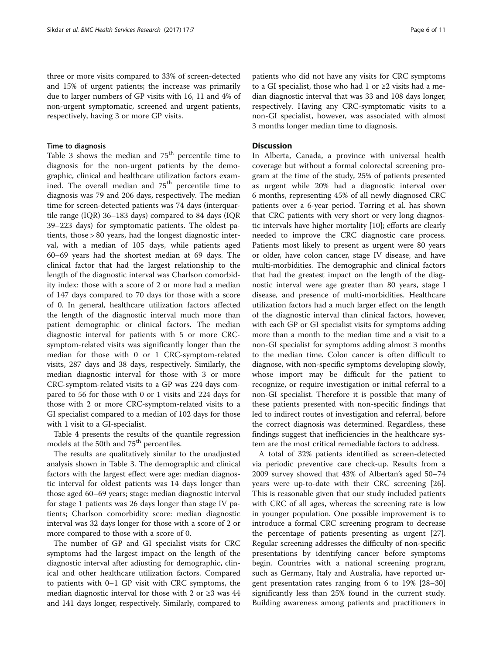three or more visits compared to 33% of screen-detected and 15% of urgent patients; the increase was primarily due to larger numbers of GP visits with 16, 11 and 4% of non-urgent symptomatic, screened and urgent patients, respectively, having 3 or more GP visits.

# Time to diagnosis

Table [3](#page-6-0) shows the median and  $75<sup>th</sup>$  percentile time to diagnosis for the non-urgent patients by the demographic, clinical and healthcare utilization factors examined. The overall median and 75<sup>th</sup> percentile time to diagnosis was 79 and 206 days, respectively. The median time for screen-detected patients was 74 days (interquartile range (IQR) 36–183 days) compared to 84 days (IQR 39–223 days) for symptomatic patients. The oldest patients, those > 80 years, had the longest diagnostic interval, with a median of 105 days, while patients aged 60–69 years had the shortest median at 69 days. The clinical factor that had the largest relationship to the length of the diagnostic interval was Charlson comorbidity index: those with a score of 2 or more had a median of 147 days compared to 70 days for those with a score of 0. In general, healthcare utilization factors affected the length of the diagnostic interval much more than patient demographic or clinical factors. The median diagnostic interval for patients with 5 or more CRCsymptom-related visits was significantly longer than the median for those with 0 or 1 CRC-symptom-related visits, 287 days and 38 days, respectively. Similarly, the median diagnostic interval for those with 3 or more CRC-symptom-related visits to a GP was 224 days compared to 56 for those with 0 or 1 visits and 224 days for those with 2 or more CRC-symptom-related visits to a GI specialist compared to a median of 102 days for those with 1 visit to a GI-specialist.

Table [4](#page-7-0) presents the results of the quantile regression models at the 50th and 75<sup>th</sup> percentiles.

The results are qualitatively similar to the unadjusted analysis shown in Table [3](#page-6-0). The demographic and clinical factors with the largest effect were age: median diagnostic interval for oldest patients was 14 days longer than those aged 60–69 years; stage: median diagnostic interval for stage 1 patients was 26 days longer than stage IV patients; Charlson comorbidity score: median diagnostic interval was 32 days longer for those with a score of 2 or more compared to those with a score of 0.

The number of GP and GI specialist visits for CRC symptoms had the largest impact on the length of the diagnostic interval after adjusting for demographic, clinical and other healthcare utilization factors. Compared to patients with 0–1 GP visit with CRC symptoms, the median diagnostic interval for those with 2 or  $\geq$ 3 was 44 and 141 days longer, respectively. Similarly, compared to

patients who did not have any visits for CRC symptoms to a GI specialist, those who had 1 or ≥2 visits had a median diagnostic interval that was 33 and 108 days longer, respectively. Having any CRC-symptomatic visits to a non-GI specialist, however, was associated with almost 3 months longer median time to diagnosis.

# **Discussion**

In Alberta, Canada, a province with universal health coverage but without a formal colorectal screening program at the time of the study, 25% of patients presented as urgent while 20% had a diagnostic interval over 6 months, representing 45% of all newly diagnosed CRC patients over a 6-year period. Tørring et al. has shown that CRC patients with very short or very long diagnostic intervals have higher mortality [[10](#page-9-0)]; efforts are clearly needed to improve the CRC diagnostic care process. Patients most likely to present as urgent were 80 years or older, have colon cancer, stage IV disease, and have multi-morbidities. The demographic and clinical factors that had the greatest impact on the length of the diagnostic interval were age greater than 80 years, stage I disease, and presence of multi-morbidities. Healthcare utilization factors had a much larger effect on the length of the diagnostic interval than clinical factors, however, with each GP or GI specialist visits for symptoms adding more than a month to the median time and a visit to a non-GI specialist for symptoms adding almost 3 months to the median time. Colon cancer is often difficult to diagnose, with non-specific symptoms developing slowly, whose import may be difficult for the patient to recognize, or require investigation or initial referral to a non-GI specialist. Therefore it is possible that many of these patients presented with non-specific findings that led to indirect routes of investigation and referral, before the correct diagnosis was determined. Regardless, these findings suggest that inefficiencies in the healthcare system are the most critical remediable factors to address.

A total of 32% patients identified as screen-detected via periodic preventive care check-up. Results from a 2009 survey showed that 43% of Albertan's aged 50–74 years were up-to-date with their CRC screening [\[26](#page-9-0)]. This is reasonable given that our study included patients with CRC of all ages, whereas the screening rate is low in younger population. One possible improvement is to introduce a formal CRC screening program to decrease the percentage of patients presenting as urgent [\[27](#page-9-0)]. Regular screening addresses the difficulty of non-specific presentations by identifying cancer before symptoms begin. Countries with a national screening program, such as Germany, Italy and Australia, have reported urgent presentation rates ranging from 6 to 19% [[28](#page-9-0)–[30](#page-10-0)] significantly less than 25% found in the current study. Building awareness among patients and practitioners in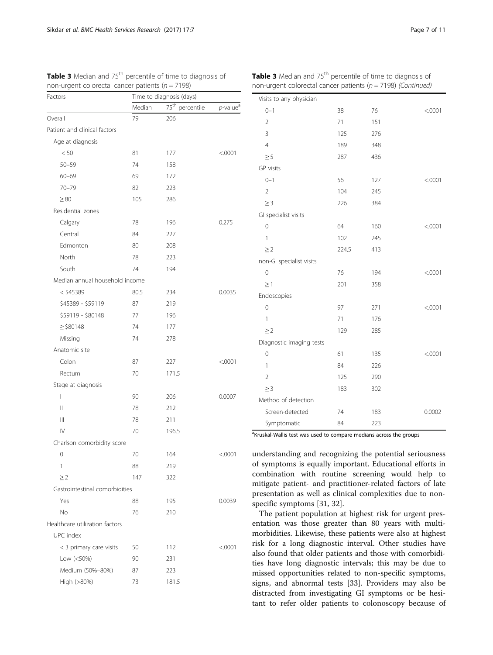| Factors                        | Time to diagnosis (days) |                   |                                      |  |
|--------------------------------|--------------------------|-------------------|--------------------------------------|--|
|                                | Median                   | $75th$ percentile | $p$ -value <sup><math>d</math></sup> |  |
| Overall                        | 79                       | 206               |                                      |  |
| Patient and clinical factors   |                          |                   |                                      |  |
| Age at diagnosis               |                          |                   |                                      |  |
| < 50                           | 81                       | 177               | < .0001                              |  |
| $50 - 59$                      | 74                       | 158               |                                      |  |
| $60 - 69$                      | 69                       | 172               |                                      |  |
| $70 - 79$                      | 82                       | 223               |                                      |  |
| $\geq 80$                      | 105                      | 286               |                                      |  |
| Residential zones              |                          |                   |                                      |  |
| Calgary                        | 78                       | 196               | 0.275                                |  |
| Central                        | 84                       | 227               |                                      |  |
| Edmonton                       | 80                       | 208               |                                      |  |
| North                          | 78                       | 223               |                                      |  |
| South                          | 74                       | 194               |                                      |  |
| Median annual household income |                          |                   |                                      |  |
| $<$ \$45389                    | 80.5                     | 234               | 0.0035                               |  |
| \$45389 - \$59119              | 87                       | 219               |                                      |  |
| \$59119 - \$80148              | 77                       | 196               |                                      |  |
| $\ge$ \$80148                  | 74                       | 177               |                                      |  |
| Missing                        | 74                       | 278               |                                      |  |
| Anatomic site                  |                          |                   |                                      |  |
| Colon                          | 87                       | 227               | < .0001                              |  |
| Rectum                         | 70                       | 171.5             |                                      |  |
| Stage at diagnosis             |                          |                   |                                      |  |
| I                              | 90                       | 206               | 0.0007                               |  |
| Ш                              | 78                       | 212               |                                      |  |
| Ш                              | 78                       | 211               |                                      |  |
| IV                             | 70                       | 196.5             |                                      |  |
| Charlson comorbidity score     |                          |                   |                                      |  |
| 0                              | 70                       | 164               | < .0001                              |  |
| 1                              | 88                       | 219               |                                      |  |
| $\geq$ 2                       | 147                      | 322               |                                      |  |
| Gastrointestinal comorbidities |                          |                   |                                      |  |
| Yes                            | 88                       | 195               | 0.0039                               |  |
| No                             | 76                       | 210               |                                      |  |
| Healthcare utilization factors |                          |                   |                                      |  |
| UPC index                      |                          |                   |                                      |  |
| < 3 primary care visits        | 50                       | 112               | < .0001                              |  |
| Low (<50%)                     | 90                       | 231               |                                      |  |
| Medium (50%-80%)               | 87                       | 223               |                                      |  |
| High (>80%)                    | 73                       | 181.5             |                                      |  |
|                                |                          |                   |                                      |  |

<span id="page-6-0"></span>**Table 3** Median and  $75<sup>th</sup>$  percentile of time to diagnosis of non-urgent colorectal cancer patients ( $n = 7198$ )

| Table 3 Median and 75 <sup>th</sup> percentile of time to diagnosis of |  |
|------------------------------------------------------------------------|--|
| non-urgent colorectal cancer patients ( $n = 7198$ ) (Continued)       |  |

| Visits to any physician  |       |     |         |
|--------------------------|-------|-----|---------|
| $0 - 1$                  | 38    | 76  | < .0001 |
| $\overline{2}$           | 71    | 151 |         |
| 3                        | 125   | 276 |         |
| $\overline{4}$           | 189   | 348 |         |
| $\geq 5$                 | 287   | 436 |         |
| GP visits                |       |     |         |
| $0 - 1$                  | 56    | 127 | < .0001 |
| $\overline{2}$           | 104   | 245 |         |
| $\geq$ 3                 | 226   | 384 |         |
| GI specialist visits     |       |     |         |
| 0                        | 64    | 160 | < .0001 |
| 1                        | 102   | 245 |         |
| $\geq$ 2                 | 224.5 | 413 |         |
| non-GI specialist visits |       |     |         |
| $\overline{0}$           | 76    | 194 | < .0001 |
| $\geq$ 1                 | 201   | 358 |         |
| Endoscopies              |       |     |         |
| 0                        | 97    | 271 | < .0001 |
| 1                        | 71    | 176 |         |
| $\geq$ 2                 | 129   | 285 |         |
| Diagnostic imaging tests |       |     |         |
| $\overline{0}$           | 61    | 135 | < .0001 |
| 1                        | 84    | 226 |         |
| $\overline{2}$           | 125   | 290 |         |
| $\geq$ 3                 | 183   | 302 |         |
| Method of detection      |       |     |         |
| Screen-detected          | 74    | 183 | 0.0002  |
| Symptomatic              | 84    | 223 |         |

<sup>a</sup>Kruskal-Wallis test was used to compare medians across the groups

understanding and recognizing the potential seriousness of symptoms is equally important. Educational efforts in combination with routine screening would help to mitigate patient- and practitioner-related factors of late presentation as well as clinical complexities due to nonspecific symptoms [[31, 32\]](#page-10-0).

The patient population at highest risk for urgent presentation was those greater than 80 years with multimorbidities. Likewise, these patients were also at highest risk for a long diagnostic interval. Other studies have also found that older patients and those with comorbidities have long diagnostic intervals; this may be due to missed opportunities related to non-specific symptoms, signs, and abnormal tests [[33\]](#page-10-0). Providers may also be distracted from investigating GI symptoms or be hesitant to refer older patients to colonoscopy because of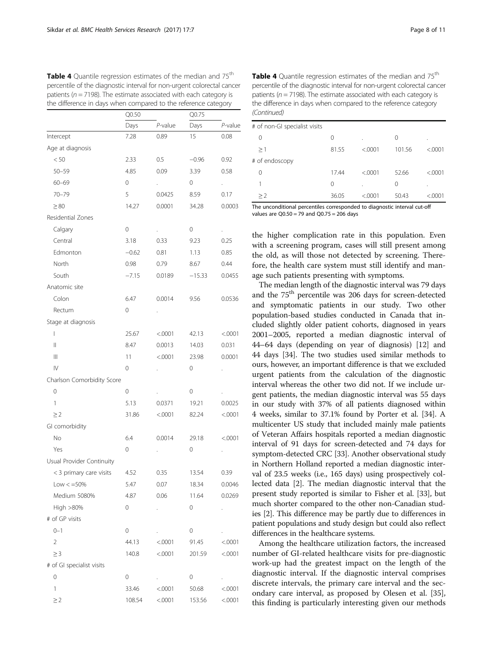|                                       | Q0.50   |                      |          |            |
|---------------------------------------|---------|----------------------|----------|------------|
|                                       | Days    | $P$ -value           | Days     | $P$ -value |
| Intercept                             | 7.28    | 0.89                 | 15       | 0.08       |
| Age at diagnosis                      |         |                      |          |            |
| < 50                                  | 2.33    | 0.5                  | $-0.96$  | 0.92       |
| $50 - 59$                             | 4.85    | 0.09                 | 3.39     | 0.58       |
| $60 - 69$                             | 0       | $\ddot{\phantom{0}}$ | 0        | L.         |
| $70 - 79$                             | 5       | 0.0425               | 8.59     | 0.17       |
| $\geq 80$                             | 14.27   | 0.0001               | 34.28    | 0.0003     |
| Residential Zones                     |         |                      |          |            |
| Calgary                               | 0       | $\ddot{\phantom{0}}$ | 0        | k,         |
| Central                               | 3.18    | 0.33                 | 9.23     | 0.25       |
| Edmonton                              | $-0.62$ | 0.81                 | 1.13     | 0.85       |
| North                                 | 0.98    | 0.79                 | 8.67     | 0.44       |
| South                                 | $-7.15$ | 0.0189               | $-15.33$ | 0.0455     |
| Anatomic site                         |         |                      |          |            |
| Colon                                 | 6.47    | 0.0014               | 9.56     | 0.0536     |
| Rectum                                | 0       |                      |          |            |
| Stage at diagnosis                    |         |                      |          |            |
| $\overline{1}$                        | 25.67   | < .0001              | 42.13    | < .0001    |
| $\mathsf{II}$                         | 8.47    | 0.0013               | 14.03    | 0.031      |
| $\begin{array}{c} \hline \end{array}$ | 11      | < .0001              | 23.98    | 0.0001     |
| IV                                    | 0       | $\cdot$              | 0        |            |
| Charlson Comorbidity Score            |         |                      |          |            |
| $\mathcal O$                          | 0       |                      | 0        |            |
| 1                                     | 5.13    | 0.0371               | 19.21    | 0.0025     |
| $\geq$ 2                              | 31.86   | < .0001              | 82.24    | < .0001    |
| GI comorbidity                        |         |                      |          |            |
| No                                    | 6.4     | 0.0014               | 29.18    | < .0001    |
| Yes                                   | 0       |                      | 0        |            |
| Usual Provider Continuity             |         |                      |          |            |
| < 3 primary care visits               | 4.52    | 0.35                 | 13.54    | 0.39       |
| $Low < = 50\%$                        | 5.47    | 0.07                 | 18.34    | 0.0046     |
| Medium 5080%                          | 4.87    | 0.06                 | 11.64    | 0.0269     |
| High >80%                             | 0       | $\ddot{\phantom{0}}$ | 0        |            |
| # of GP visits                        |         |                      |          |            |
| $0 - 1$                               | 0       |                      | 0        |            |
| 2                                     | 44.13   | < .0001              | 91.45    | < .0001    |
| $\geq$ 3                              | 140.8   | < .0001              | 201.59   | < .0001    |
| # of GI specialist visits             |         |                      |          |            |
| 0                                     | 0       | <b>College</b>       | 0        |            |
| 1                                     | 33.46   | < .0001              | 50.68    | < .0001    |
| $\geq$ 2                              | 108.54  | < .0001              | 153.56   | < .0001    |

<span id="page-7-0"></span>Table 4 Quantile regression estimates of the median and 75<sup>th</sup> percentile of the diagnostic interval for non-urgent colorectal cancer patients ( $n = 7198$ ). The estimate associated with each category is<br>the difference in days when compared to the reference category. the difference in days when compared to the reference category

Table 4 Quantile regression estimates of the median and 75<sup>th</sup> percentile of the diagnostic interval for non-urgent colorectal cancer patients ( $n = 7198$ ). The estimate associated with each category is the difference in days when compared to the reference category (Continued)

| 0     | $\lambda$ | 0      | $\cdot$  |
|-------|-----------|--------|----------|
| 81.55 | < .0001   | 101.56 | < 0.0001 |
|       |           |        |          |
| 17.44 | < 0001    | 52.66  | < 0.0001 |
| 0     | $\cdot$   | 0      | ٠        |
| 36.05 | < 0001    | 50.43  | < 0001   |
|       |           |        |          |

The unconditional percentiles corresponded to diagnostic interval cut-off values are Q0.50 = 79 and Q0.75 = 206 days

the higher complication rate in this population. Even with a screening program, cases will still present among the old, as will those not detected by screening. Therefore, the health care system must still identify and manage such patients presenting with symptoms.

The median length of the diagnostic interval was 79 days and the 75<sup>th</sup> percentile was 206 days for screen-detected and symptomatic patients in our study. Two other population-based studies conducted in Canada that included slightly older patient cohorts, diagnosed in years 2001–2005, reported a median diagnostic interval of 44–64 days (depending on year of diagnosis) [[12](#page-9-0)] and 44 days [\[34\]](#page-10-0). The two studies used similar methods to ours, however, an important difference is that we excluded urgent patients from the calculation of the diagnostic interval whereas the other two did not. If we include urgent patients, the median diagnostic interval was 55 days in our study with 37% of all patients diagnosed within 4 weeks, similar to 37.1% found by Porter et al. [[34](#page-10-0)]. A multicenter US study that included mainly male patients of Veteran Affairs hospitals reported a median diagnostic interval of 91 days for screen-detected and 74 days for symptom-detected CRC [\[33\]](#page-10-0). Another observational study in Northern Holland reported a median diagnostic interval of 23.5 weeks (i.e., 165 days) using prospectively collected data [\[2](#page-9-0)]. The median diagnostic interval that the present study reported is similar to Fisher et al. [[33](#page-10-0)], but much shorter compared to the other non-Canadian studies [\[2](#page-9-0)]. This difference may be partly due to differences in patient populations and study design but could also reflect differences in the healthcare systems.

Among the healthcare utilization factors, the increased number of GI-related healthcare visits for pre-diagnostic work-up had the greatest impact on the length of the diagnostic interval. If the diagnostic interval comprises discrete intervals, the primary care interval and the secondary care interval, as proposed by Olesen et al. [\[35](#page-10-0)], this finding is particularly interesting given our methods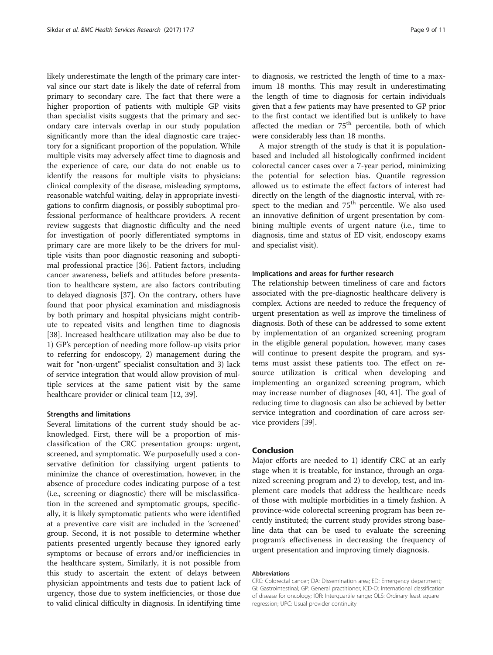likely underestimate the length of the primary care interval since our start date is likely the date of referral from primary to secondary care. The fact that there were a higher proportion of patients with multiple GP visits than specialist visits suggests that the primary and secondary care intervals overlap in our study population significantly more than the ideal diagnostic care trajectory for a significant proportion of the population. While multiple visits may adversely affect time to diagnosis and the experience of care, our data do not enable us to identify the reasons for multiple visits to physicians: clinical complexity of the disease, misleading symptoms, reasonable watchful waiting, delay in appropriate investigations to confirm diagnosis, or possibly suboptimal professional performance of healthcare providers. A recent review suggests that diagnostic difficulty and the need for investigation of poorly differentiated symptoms in primary care are more likely to be the drivers for multiple visits than poor diagnostic reasoning and suboptimal professional practice [\[36](#page-10-0)]. Patient factors, including cancer awareness, beliefs and attitudes before presentation to healthcare system, are also factors contributing to delayed diagnosis [[37](#page-10-0)]. On the contrary, others have found that poor physical examination and misdiagnosis by both primary and hospital physicians might contribute to repeated visits and lengthen time to diagnosis [[38\]](#page-10-0). Increased healthcare utilization may also be due to 1) GP's perception of needing more follow-up visits prior to referring for endoscopy, 2) management during the wait for "non-urgent" specialist consultation and 3) lack of service integration that would allow provision of multiple services at the same patient visit by the same healthcare provider or clinical team [[12,](#page-9-0) [39](#page-10-0)].

# Strengths and limitations

Several limitations of the current study should be acknowledged. First, there will be a proportion of misclassification of the CRC presentation groups: urgent, screened, and symptomatic. We purposefully used a conservative definition for classifying urgent patients to minimize the chance of overestimation, however, in the absence of procedure codes indicating purpose of a test (i.e., screening or diagnostic) there will be misclassification in the screened and symptomatic groups, specifically, it is likely symptomatic patients who were identified at a preventive care visit are included in the 'screened' group. Second, it is not possible to determine whether patients presented urgently because they ignored early symptoms or because of errors and/or inefficiencies in the healthcare system, Similarly, it is not possible from this study to ascertain the extent of delays between physician appointments and tests due to patient lack of urgency, those due to system inefficiencies, or those due to valid clinical difficulty in diagnosis. In identifying time

to diagnosis, we restricted the length of time to a maximum 18 months. This may result in underestimating the length of time to diagnosis for certain individuals given that a few patients may have presented to GP prior to the first contact we identified but is unlikely to have affected the median or  $75<sup>th</sup>$  percentile, both of which were considerably less than 18 months.

A major strength of the study is that it is populationbased and included all histologically confirmed incident colorectal cancer cases over a 7-year period, minimizing the potential for selection bias. Quantile regression allowed us to estimate the effect factors of interest had directly on the length of the diagnostic interval, with respect to the median and 75<sup>th</sup> percentile. We also used an innovative definition of urgent presentation by combining multiple events of urgent nature (i.e., time to diagnosis, time and status of ED visit, endoscopy exams and specialist visit).

# Implications and areas for further research

The relationship between timeliness of care and factors associated with the pre-diagnostic healthcare delivery is complex. Actions are needed to reduce the frequency of urgent presentation as well as improve the timeliness of diagnosis. Both of these can be addressed to some extent by implementation of an organized screening program in the eligible general population, however, many cases will continue to present despite the program, and systems must assist these patients too. The effect on resource utilization is critical when developing and implementing an organized screening program, which may increase number of diagnoses [[40, 41](#page-10-0)]. The goal of reducing time to diagnosis can also be achieved by better service integration and coordination of care across service providers [[39\]](#page-10-0).

# Conclusion

Major efforts are needed to 1) identify CRC at an early stage when it is treatable, for instance, through an organized screening program and 2) to develop, test, and implement care models that address the healthcare needs of those with multiple morbidities in a timely fashion. A province-wide colorectal screening program has been recently instituted; the current study provides strong baseline data that can be used to evaluate the screening program's effectiveness in decreasing the frequency of urgent presentation and improving timely diagnosis.

# Abbreviations

CRC: Colorectal cancer; DA: Dissemination area; ED: Emergency department; GI: Gastrointestinal; GP: General practitioner; ICD-O: International classification of disease for oncology; IQR: Interquartile range; OLS: Ordinary least square regression; UPC: Usual provider continuity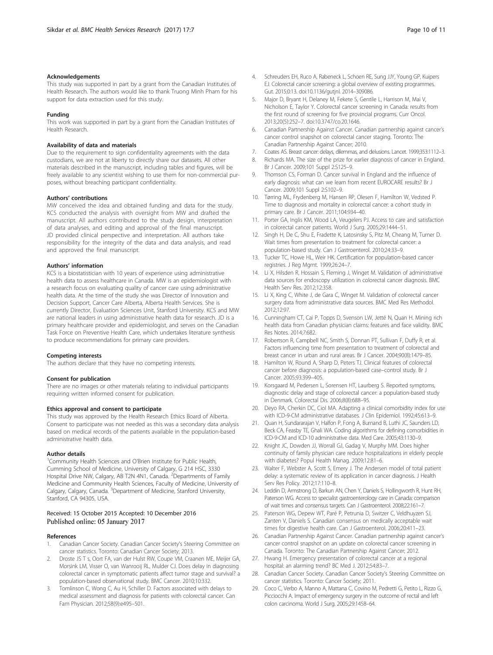# <span id="page-9-0"></span>Acknowledgements

This study was supported in part by a grant from the Canadian Institutes of Health Research. The authors would like to thank Truong Minh Pham for his support for data extraction used for this study.

#### Funding

This work was supported in part by a grant from the Canadian Institutes of Health Research.

### Availability of data and materials

Due to the requirement to sign confidentiality agreements with the data custodians, we are not at liberty to directly share our datasets. All other materials described in the manuscript, including tables and figures, will be freely available to any scientist wishing to use them for non-commercial purposes, without breaching participant confidentiality.

#### Authors' contributions

MW conceived the idea and obtained funding and data for the study. KCS conducted the analysis with oversight from MW and drafted the manuscript. All authors contributed to the study design, interpretation of data analyses, and editing and approval of the final manuscript. JD provided clinical perspective and interpretation. All authors take responsibility for the integrity of the data and data analysis, and read and approved the final manuscript.

#### Authors' information

KCS is a biostatistician with 10 years of experience using administrative health data to assess healthcare in Canada. MW is an epidemiologist with a research focus on evaluating quality of cancer care using administrative health data. At the time of the study she was Director of Innovation and Decision Support, Cancer Care Alberta, Alberta Health Services. She is currently Director, Evaluation Sciences Unit, Stanford University. KCS and MW are national leaders in using administrative health data for research. JD is a primary healthcare provider and epidemiologist, and serves on the Canadian Task Force on Preventive Health Care, which undertakes literature synthesis to produce recommendations for primary care providers.

# Competing interests

The authors declare that they have no competing interests.

# Consent for publication

There are no images or other materials relating to individual participants requiring written informed consent for publication.

# Ethics approval and consent to participate

This study was approved by the Health Research Ethics Board of Alberta. Consent to participate was not needed as this was a secondary data analysis based on medical records of the patients available in the population-based administrative health data.

# Author details

<sup>1</sup> Community Health Sciences and O'Brien Institute for Public Health, Cumming School of Medicine, University of Calgary, G 214 HSC, 3330 Hospital Drive NW, Calgary, AB T2N 4N1, Canada. <sup>2</sup>Departments of Family Medicine and Community Health Sciences, Faculty of Medicine, University of Calgary, Calgary, Canada. <sup>3</sup> Department of Medicine, Stanford University, Stanford, CA 94305, USA.

# Received: 15 October 2015 Accepted: 10 December 2016 Published online: 05 January 2017

# References

- 1. Canadian Cancer Society. Canadian Cancer Society's Steering Committee on cancer statistics. Toronto: Canadian Cancer Society; 2013.
- 2. Droste JS T s, Oort FA, van der Hulst RW, Coupe VM, Craanen ME, Meijer GA, Morsink LM, Visser O, van Wanrooij RL, Mulder CJ. Does delay in diagnosing colorectal cancer in symptomatic patients affect tumor stage and survival? a population-based observational study. BMC Cancer. 2010;10:332.
- 3. Tomlinson C, Wong C, Au H, Schiller D. Factors associated with delays to medical assessment and diagnosis for patients with colorectal cancer. Can Fam Physician. 2012;58(9):e495–501.
- Gut. 2015;0:13. doi[:10.1136/gutjnl](http://dx.doi.org/10.1136/gutjnl). 2014–309086. 5. Major D, Bryant H, Delaney M, Fekete S, Gentile L, Harrison M, Mai V, Nicholson E, Taylor Y. Colorectal cancer screening in Canada: results from the first round of screening for five provincial programs. Curr Oncol. 2013;20(5):252–7. doi:[10.3747/co.20.1646](http://dx.doi.org/10.3747/co.20.1646).
- 6. Canadian Partnership Against Cancer. Canadian partnership against cancer's cancer control snapshot on colorectal cancer staging. Toronto: The Canadian Partnership Against Cancer; 2010.
- 7. Coates AS. Breast cancer: delays, dilemmas, and delusions. Lancet. 1999;353:1112–3.
- 8. Richards MA. The size of the prize for earlier diagnosis of cancer in England. Br J Cancer. 2009;101 Suppl 2:S125–9.
- 9. Thomson CS, Forman D. Cancer survival in England and the influence of early diagnosis: what can we learn from recent EUROCARE results? Br J Cancer. 2009;101 Suppl 2:S102–9.
- 10. Tørring ML, Frydenberg M, Hansen RP, Olesen F, Hamilton W, Vedsted P. Time to diagnosis and mortality in colorectal cancer: a cohort study in primary care. Br J Cancer. 2011;104:934–40.
- 11. Porter GA, Inglis KM, Wood LA, Veugelers PJ. Access to care and satisfaction in colorectal cancer patients. World J Surg. 2005;29:1444–51.
- 12. Singh H, De C, Shu E, Fradette K, Latosinsky S, Pitz M, Cheang M, Turner D. Wait times from presentation to treatment for colorectal cancer: a population-based study. Can J Gastroenterol. 2010;24:33–9.
- 13. Tucker TC, Howe HL, Weir HK. Certification for population-based cancer registries. J Reg Mgmt. 1999;26:24–7.
- 14. Li X, Hilsden R, Hossain S, Fleming J, Winget M. Validation of administrative data sources for endoscopy utilization in colorectal cancer diagnosis. BMC Health Serv Res. 2012;12:358.
- 15. Li X, King C, White J, de Gara C, Winget M. Validation of colorectal cancer surgery data from administrative data sources. BMC Med Res Methodol. 2012;12:97.
- 16. Cunningham CT, Cai P, Topps D, Svenson LW, Jetté N, Quan H. Mining rich health data from Canadian physician claims: features and face validity. BMC Res Notes. 2014;7:682.
- 17. Robertson R, Campbell NC, Smith S, Donnan PT, Sullivan F, Duffy R, et al. Factors influencing time from presentation to treatment of colorectal and breast cancer in urban and rural areas. Br J Cancer. 2004;90(8):1479–85.
- 18. Hamilton W, Round A, Sharp D, Peters TJ. Clinical features of colorectal cancer before diagnosis: a population-based case–control study. Br J Cancer. 2005;93:399–405.
- 19. Korsgaard M, Pedersen L, Sorensen HT, Laurberg S. Reported symptoms, diagnostic delay and stage of colorectal cancer: a population-based study in Denmark. Colorectal Dis. 2006;8(8):688–95.
- 20. Deyo RA, Cherkin DC, Ciol MA. Adapting a clinical comorbidity index for use with ICD-9-CM administrative databases. J Clin Epidemiol. 1992;45:613–9.
- 21. Quan H, Sundararajan V, Halfon P, Fong A, Burnand B, Luthi JC, Saunders LD, Beck CA, Feasby TE, Ghali WA. Coding algorithms for defining comorbidities in ICD-9-CM and ICD-10 administrative data. Med Care. 2005;43:1130–9.
- 22. Knight JC, Dowden JJ, Worrall GJ, Gadag V, Murphy MM. Does higher continuity of family physician care reduce hospitalizations in elderly people with diabetes? Popul Health Manag. 2009;12:81–6.
- 23. Walter F, Webster A, Scott S, Emery J. The Andersen model of total patient delay: a systematic review of its application in cancer diagnosis. J Health Serv Res Policy. 2012;17:110–8.
- 24. Leddin D, Armstrong D, Barkun AN, Chen Y, Daniels S, Hollingworth R, Hunt RH, Paterson WG. Access to specialist gastroenterology care in Canada: comparison of wait times and consensus targets. Can J Gastroenterol. 2008;22:161–7.
- 25. Paterson WG, Depew WT, Paré P, Petrunia D, Switzer C, Veldhuyzen SJ, Zanten V, Daniels S. Canadian consensus on medically acceptable wait times for digestive health care. Can J Gastroenterol. 2006;20:411–23.
- 26. Canadian Partnership Against Cancer. Canadian partnership against cancer's cancer control snapshot on an update on colorectal cancer screening in Canada. Toronto: The Canadian Partnership Against Cancer; 2012.
- 27. Hwang H. Emergency presentation of colorectal cancer at a regional hospital: an alarming trend? BC Med J. 2012;54:83–7.
- 28. Canadian Cancer Society. Canadian Cancer Society's Steering Committee on cancer statistics. Toronto: Cancer Society; 2011.
- 29. Coco C, Verbo A, Manno A, Mattana C, Covino M, Pedretti G, Petito L, Rizzo G, Picciocchi A. Impact of emergency surgery in the outcome of rectal and left colon carcinoma. World J Surg. 2005;29:1458–64.